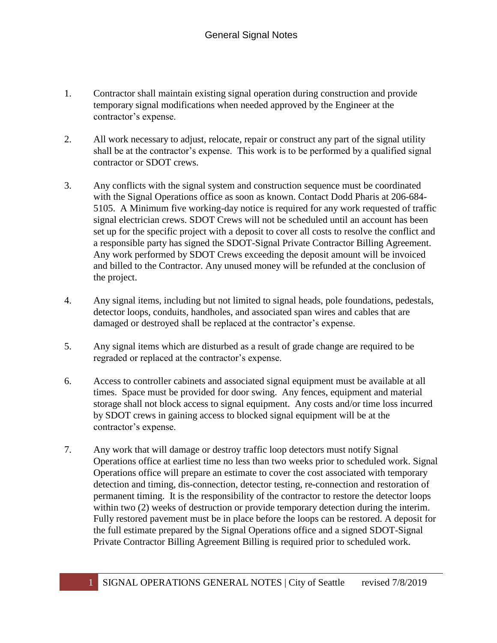- 1. Contractor shall maintain existing signal operation during construction and provide temporary signal modifications when needed approved by the Engineer at the contractor's expense.
- 2. All work necessary to adjust, relocate, repair or construct any part of the signal utility shall be at the contractor's expense. This work is to be performed by a qualified signal contractor or SDOT crews.
- 3. Any conflicts with the signal system and construction sequence must be coordinated with the Signal Operations office as soon as known. Contact Dodd Pharis at 206-684- 5105. A Minimum five working-day notice is required for any work requested of traffic signal electrician crews. SDOT Crews will not be scheduled until an account has been set up for the specific project with a deposit to cover all costs to resolve the conflict and a responsible party has signed the SDOT-Signal Private Contractor Billing Agreement. Any work performed by SDOT Crews exceeding the deposit amount will be invoiced and billed to the Contractor. Any unused money will be refunded at the conclusion of the project.
- 4. Any signal items, including but not limited to signal heads, pole foundations, pedestals, detector loops, conduits, handholes, and associated span wires and cables that are damaged or destroyed shall be replaced at the contractor's expense.
- 5. Any signal items which are disturbed as a result of grade change are required to be regraded or replaced at the contractor's expense.
- 6. Access to controller cabinets and associated signal equipment must be available at all times. Space must be provided for door swing. Any fences, equipment and material storage shall not block access to signal equipment. Any costs and/or time loss incurred by SDOT crews in gaining access to blocked signal equipment will be at the contractor's expense.
- 7. Any work that will damage or destroy traffic loop detectors must notify Signal Operations office at earliest time no less than two weeks prior to scheduled work. Signal Operations office will prepare an estimate to cover the cost associated with temporary detection and timing, dis-connection, detector testing, re-connection and restoration of permanent timing. It is the responsibility of the contractor to restore the detector loops within two (2) weeks of destruction or provide temporary detection during the interim. Fully restored pavement must be in place before the loops can be restored. A deposit for the full estimate prepared by the Signal Operations office and a signed SDOT-Signal Private Contractor Billing Agreement Billing is required prior to scheduled work.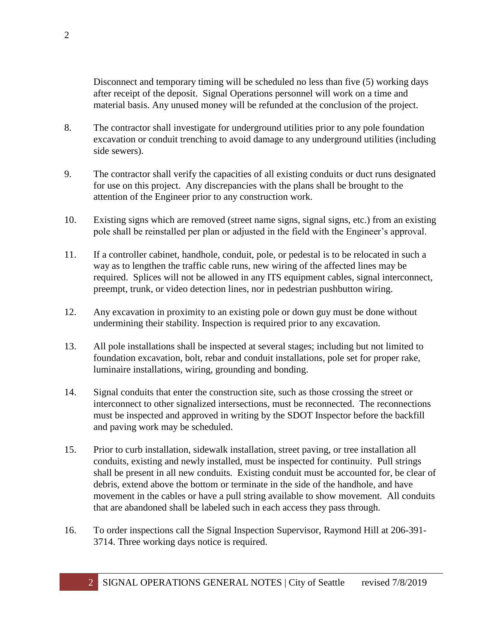Disconnect and temporary timing will be scheduled no less than five (5) working days after receipt of the deposit. Signal Operations personnel will work on a time and material basis. Any unused money will be refunded at the conclusion of the project.

- 8. The contractor shall investigate for underground utilities prior to any pole foundation excavation or conduit trenching to avoid damage to any underground utilities (including side sewers).
- 9. The contractor shall verify the capacities of all existing conduits or duct runs designated for use on this project. Any discrepancies with the plans shall be brought to the attention of the Engineer prior to any construction work.
- 10. Existing signs which are removed (street name signs, signal signs, etc.) from an existing pole shall be reinstalled per plan or adjusted in the field with the Engineer's approval.
- 11. If a controller cabinet, handhole, conduit, pole, or pedestal is to be relocated in such a way as to lengthen the traffic cable runs, new wiring of the affected lines may be required. Splices will not be allowed in any ITS equipment cables, signal interconnect, preempt, trunk, or video detection lines, nor in pedestrian pushbutton wiring.
- 12. Any excavation in proximity to an existing pole or down guy must be done without undermining their stability. Inspection is required prior to any excavation.
- 13. All pole installations shall be inspected at several stages; including but not limited to foundation excavation, bolt, rebar and conduit installations, pole set for proper rake, luminaire installations, wiring, grounding and bonding.
- 14. Signal conduits that enter the construction site, such as those crossing the street or interconnect to other signalized intersections, must be reconnected. The reconnections must be inspected and approved in writing by the SDOT Inspector before the backfill and paving work may be scheduled.
- 15. Prior to curb installation, sidewalk installation, street paving, or tree installation all conduits, existing and newly installed, must be inspected for continuity. Pull strings shall be present in all new conduits. Existing conduit must be accounted for, be clear of debris, extend above the bottom or terminate in the side of the handhole, and have movement in the cables or have a pull string available to show movement. All conduits that are abandoned shall be labeled such in each access they pass through.
- 16. To order inspections call the Signal Inspection Supervisor, Raymond Hill at 206-391- 3714. Three working days notice is required.